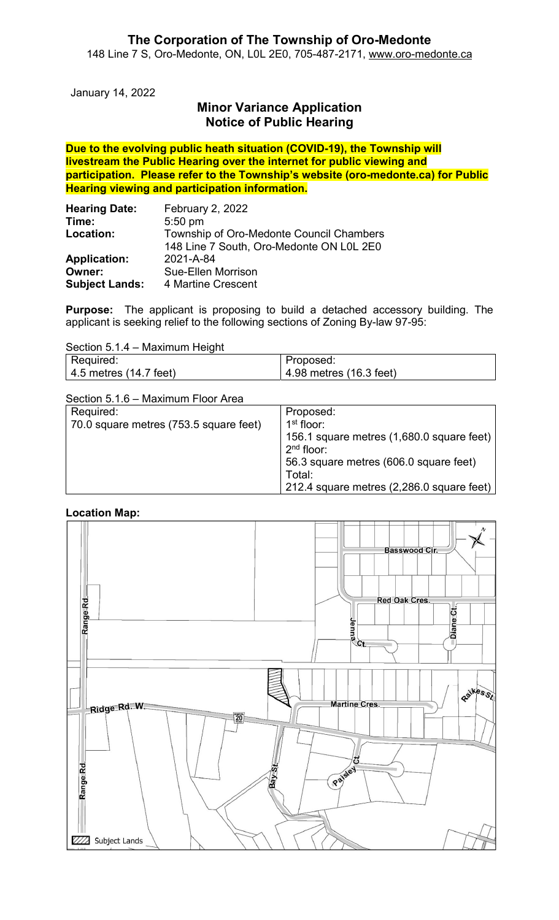January 14, 2022

# Minor Variance Application Notice of Public Hearing

Due to the evolving public heath situation (COVID-19), the Township will livestream the Public Hearing over the internet for public viewing and participation. Please refer to the Township's website (oro-medonte.ca) for Public Hearing viewing and participation information.

| <b>Hearing Date:</b>  | <b>February 2, 2022</b>                  |
|-----------------------|------------------------------------------|
| Time:                 | $5:50$ pm                                |
| Location:             | Township of Oro-Medonte Council Chambers |
|                       | 148 Line 7 South, Oro-Medonte ON L0L 2E0 |
| <b>Application:</b>   | 2021-A-84                                |
| Owner:                | Sue-Ellen Morrison                       |
| <b>Subject Lands:</b> | 4 Martine Crescent                       |

Purpose: The applicant is proposing to build a detached accessory building. The applicant is seeking relief to the following sections of Zoning By-law 97-95:

| Section 5.1.4 – Maximum Height |                         |  |
|--------------------------------|-------------------------|--|
| Required:                      | Proposed:               |  |
| $\vert$ 4.5 metres (14.7 feet) | 4.98 metres (16.3 feet) |  |

Section 5.1.6 – Maximum Floor Area

| Required:                              | Proposed:                                 |
|----------------------------------------|-------------------------------------------|
| 70.0 square metres (753.5 square feet) | 1 <sup>st</sup> floor:                    |
|                                        | 156.1 square metres (1,680.0 square feet) |
|                                        | $2nd$ floor:                              |
|                                        | 56.3 square metres (606.0 square feet)    |
|                                        | Total:                                    |
|                                        | 212.4 square metres (2,286.0 square feet) |

### Location Map:

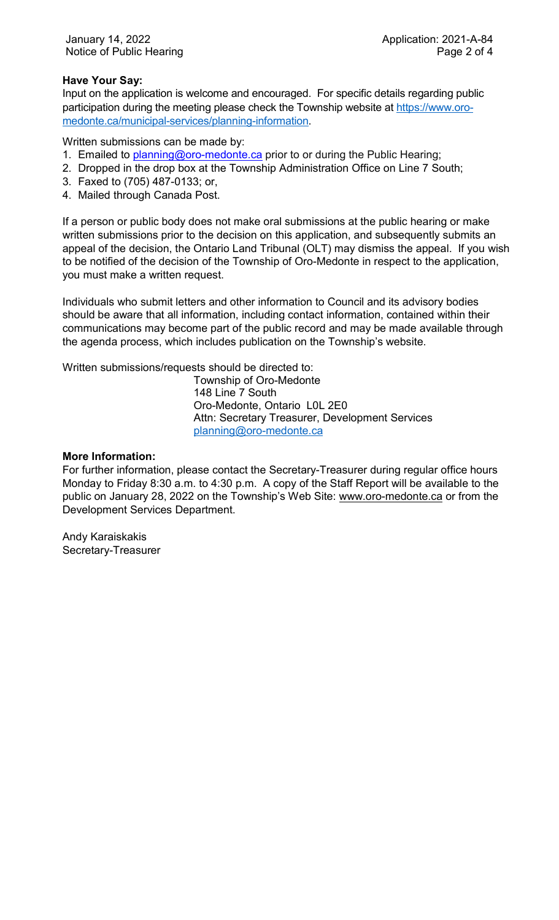#### Have Your Say:

Input on the application is welcome and encouraged. For specific details regarding public participation during the meeting please check the Township website at https://www.oromedonte.ca/municipal-services/planning-information.

Written submissions can be made by:

- 1. Emailed to planning@oro-medonte.ca prior to or during the Public Hearing;
- 2. Dropped in the drop box at the Township Administration Office on Line 7 South;
- 3. Faxed to (705) 487-0133; or,
- 4. Mailed through Canada Post.

If a person or public body does not make oral submissions at the public hearing or make written submissions prior to the decision on this application, and subsequently submits an appeal of the decision, the Ontario Land Tribunal (OLT) may dismiss the appeal. If you wish to be notified of the decision of the Township of Oro-Medonte in respect to the application, you must make a written request.

Individuals who submit letters and other information to Council and its advisory bodies should be aware that all information, including contact information, contained within their communications may become part of the public record and may be made available through the agenda process, which includes publication on the Township's website.

Written submissions/requests should be directed to:

Township of Oro-Medonte 148 Line 7 South Oro-Medonte, Ontario L0L 2E0 Attn: Secretary Treasurer, Development Services planning@oro-medonte.ca

#### More Information:

For further information, please contact the Secretary-Treasurer during regular office hours Monday to Friday 8:30 a.m. to 4:30 p.m. A copy of the Staff Report will be available to the public on January 28, 2022 on the Township's Web Site: www.oro-medonte.ca or from the Development Services Department.

Andy Karaiskakis Secretary-Treasurer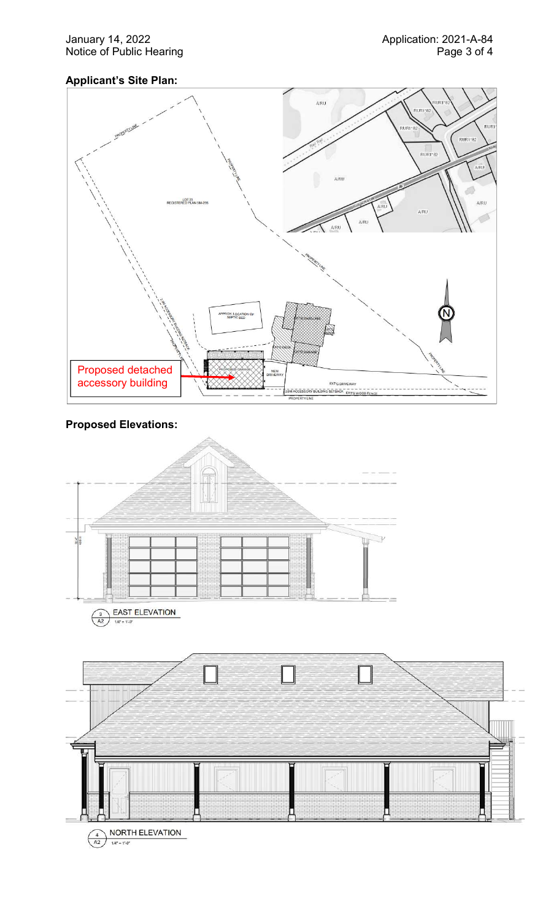January 14, 2022 Application: 2021-A-84 Notice of Public Hearing Page 3 of 4

# Applicant's Site Plan:



## Proposed Elevations: